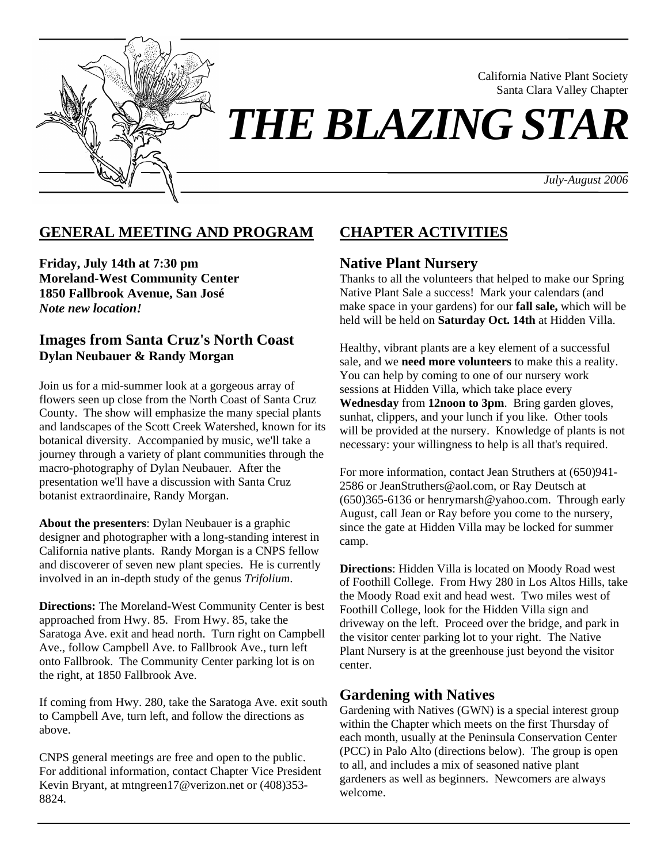

California Native Plant Society Santa Clara Valley Chapter

# *THE BLAZING STAR*

*July-August 2006*

# **GENERAL MEETING AND PROGRAM**

**Friday, July 14th at 7:30 pm Moreland-West Community Center 1850 Fallbrook Avenue, San José**  *Note new location!* 

#### **Images from Santa Cruz's North Coast Dylan Neubauer & Randy Morgan**

Join us for a mid-summer look at a gorgeous array of flowers seen up close from the North Coast of Santa Cruz County. The show will emphasize the many special plants and landscapes of the Scott Creek Watershed, known for its botanical diversity. Accompanied by music, we'll take a journey through a variety of plant communities through the macro-photography of Dylan Neubauer. After the presentation we'll have a discussion with Santa Cruz botanist extraordinaire, Randy Morgan.

**About the presenters**: Dylan Neubauer is a graphic designer and photographer with a long-standing interest in California native plants. Randy Morgan is a CNPS fellow and discoverer of seven new plant species. He is currently involved in an in-depth study of the genus *Trifolium*.

**Directions:** The Moreland-West Community Center is best approached from Hwy. 85. From Hwy. 85, take the Saratoga Ave. exit and head north. Turn right on Campbell Ave., follow Campbell Ave. to Fallbrook Ave., turn left onto Fallbrook. The Community Center parking lot is on the right, at 1850 Fallbrook Ave.

If coming from Hwy. 280, take the Saratoga Ave. exit south to Campbell Ave, turn left, and follow the directions as above.

CNPS general meetings are free and open to the public. For additional information, contact Chapter Vice President Kevin Bryant, at mtngreen17@verizon.net or (408)353- 8824.

# **CHAPTER ACTIVITIES**

### **Native Plant Nursery**

Thanks to all the volunteers that helped to make our Spring Native Plant Sale a success! Mark your calendars (and make space in your gardens) for our **fall sale,** which will be held will be held on **Saturday Oct. 14th** at Hidden Villa.

Healthy, vibrant plants are a key element of a successful sale, and we **need more volunteers** to make this a reality. You can help by coming to one of our nursery work sessions at Hidden Villa, which take place every **Wednesday** from **12noon to 3pm**. Bring garden gloves, sunhat, clippers, and your lunch if you like. Other tools will be provided at the nursery. Knowledge of plants is not necessary: your willingness to help is all that's required.

For more information, contact Jean Struthers at (650)941- 2586 or JeanStruthers@aol.com, or Ray Deutsch at (650)365-6136 or henrymarsh@yahoo.com. Through early August, call Jean or Ray before you come to the nursery, since the gate at Hidden Villa may be locked for summer camp.

**Directions**: Hidden Villa is located on Moody Road west of Foothill College. From Hwy 280 in Los Altos Hills, take the Moody Road exit and head west. Two miles west of Foothill College, look for the Hidden Villa sign and driveway on the left. Proceed over the bridge, and park in the visitor center parking lot to your right. The Native Plant Nursery is at the greenhouse just beyond the visitor center.

## **Gardening with Natives**

Gardening with Natives (GWN) is a special interest group within the Chapter which meets on the first Thursday of each month, usually at the Peninsula Conservation Center (PCC) in Palo Alto (directions below). The group is open to all, and includes a mix of seasoned native plant gardeners as well as beginners. Newcomers are always welcome.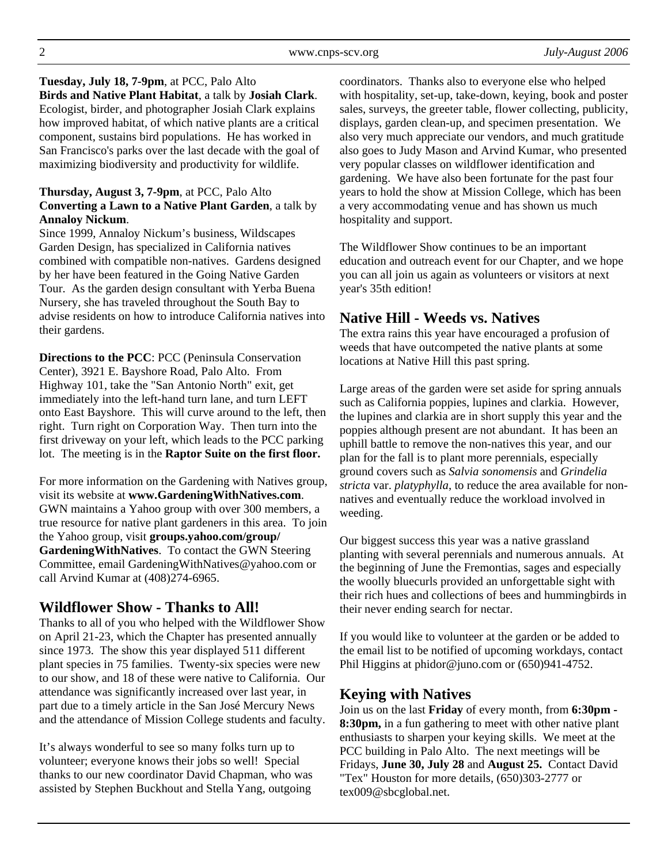**Tuesday, July 18, 7-9pm**, at PCC, Palo Alto **Birds and Native Plant Habitat**, a talk by **Josiah Clark**. Ecologist, birder, and photographer Josiah Clark explains how improved habitat, of which native plants are a critical component, sustains bird populations. He has worked in San Francisco's parks over the last decade with the goal of maximizing biodiversity and productivity for wildlife.

#### **Thursday, August 3, 7-9pm**, at PCC, Palo Alto **Converting a Lawn to a Native Plant Garden**, a talk by **Annaloy Nickum**.

Since 1999, Annaloy Nickum's business, Wildscapes Garden Design, has specialized in California natives combined with compatible non-natives. Gardens designed by her have been featured in the Going Native Garden Tour. As the garden design consultant with Yerba Buena Nursery, she has traveled throughout the South Bay to advise residents on how to introduce California natives into their gardens.

**Directions to the PCC**: PCC (Peninsula Conservation Center), 3921 E. Bayshore Road, Palo Alto. From Highway 101, take the "San Antonio North" exit, get immediately into the left-hand turn lane, and turn LEFT onto East Bayshore. This will curve around to the left, then right. Turn right on Corporation Way. Then turn into the first driveway on your left, which leads to the PCC parking lot. The meeting is in the **Raptor Suite on the first floor.** 

For more information on the Gardening with Natives group, visit its website at **www.GardeningWithNatives.com**. GWN maintains a Yahoo group with over 300 members, a true resource for native plant gardeners in this area. To join the Yahoo group, visit **groups.yahoo.com/group/ GardeningWithNatives**. To contact the GWN Steering Committee, email GardeningWithNatives@yahoo.com or call Arvind Kumar at (408)274-6965.

## **Wildflower Show - Thanks to All!**

Thanks to all of you who helped with the Wildflower Show on April 21-23, which the Chapter has presented annually since 1973. The show this year displayed 511 different plant species in 75 families. Twenty-six species were new to our show, and 18 of these were native to California. Our attendance was significantly increased over last year, in part due to a timely article in the San José Mercury News and the attendance of Mission College students and faculty.

It's always wonderful to see so many folks turn up to volunteer; everyone knows their jobs so well! Special thanks to our new coordinator David Chapman, who was assisted by Stephen Buckhout and Stella Yang, outgoing

coordinators. Thanks also to everyone else who helped with hospitality, set-up, take-down, keying, book and poster sales, surveys, the greeter table, flower collecting, publicity, displays, garden clean-up, and specimen presentation. We also very much appreciate our vendors, and much gratitude also goes to Judy Mason and Arvind Kumar, who presented very popular classes on wildflower identification and gardening. We have also been fortunate for the past four years to hold the show at Mission College, which has been a very accommodating venue and has shown us much hospitality and support.

The Wildflower Show continues to be an important education and outreach event for our Chapter, and we hope you can all join us again as volunteers or visitors at next year's 35th edition!

# **Native Hill - Weeds vs. Natives**

The extra rains this year have encouraged a profusion of weeds that have outcompeted the native plants at some locations at Native Hill this past spring.

Large areas of the garden were set aside for spring annuals such as California poppies, lupines and clarkia. However, the lupines and clarkia are in short supply this year and the poppies although present are not abundant. It has been an uphill battle to remove the non-natives this year, and our plan for the fall is to plant more perennials, especially ground covers such as *Salvia sonomensis* and *Grindelia stricta* var. *platyphylla*, to reduce the area available for nonnatives and eventually reduce the workload involved in weeding.

Our biggest success this year was a native grassland planting with several perennials and numerous annuals. At the beginning of June the Fremontias, sages and especially the woolly bluecurls provided an unforgettable sight with their rich hues and collections of bees and hummingbirds in their never ending search for nectar.

If you would like to volunteer at the garden or be added to the email list to be notified of upcoming workdays, contact Phil Higgins at phidor@juno.com or (650)941-4752.

# **Keying with Natives**

Join us on the last **Friday** of every month, from **6:30pm - 8:30pm,** in a fun gathering to meet with other native plant enthusiasts to sharpen your keying skills. We meet at the PCC building in Palo Alto. The next meetings will be Fridays, **June 30, July 28** and **August 25.** Contact David "Tex" Houston for more details, (650)303-2777 or tex009@sbcglobal.net.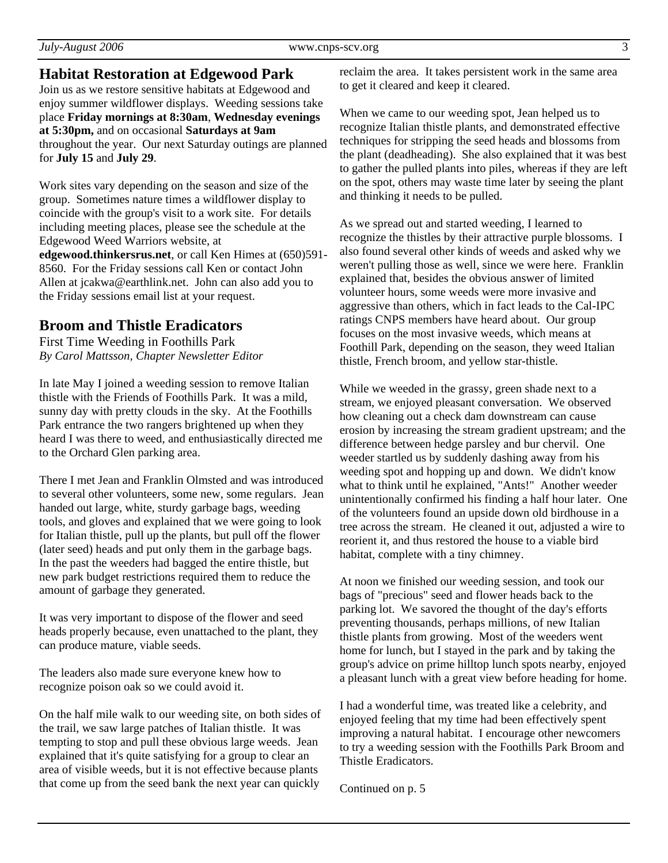## **Habitat Restoration at Edgewood Park**

Join us as we restore sensitive habitats at Edgewood and enjoy summer wildflower displays. Weeding sessions take place **Friday mornings at 8:30am**, **Wednesday evenings at 5:30pm,** and on occasional **Saturdays at 9am** throughout the year. Our next Saturday outings are planned for **July 15** and **July 29**.

Work sites vary depending on the season and size of the group. Sometimes nature times a wildflower display to coincide with the group's visit to a work site. For details including meeting places, please see the schedule at the Edgewood Weed Warriors website, at **edgewood.thinkersrus.net**, or call Ken Himes at (650)591- 8560. For the Friday sessions call Ken or contact John Allen at jcakwa@earthlink.net. John can also add you to the Friday sessions email list at your request.

# **Broom and Thistle Eradicators**

First Time Weeding in Foothills Park *By Carol Mattsson, Chapter Newsletter Editor* 

In late May I joined a weeding session to remove Italian thistle with the Friends of Foothills Park. It was a mild, sunny day with pretty clouds in the sky. At the Foothills Park entrance the two rangers brightened up when they heard I was there to weed, and enthusiastically directed me to the Orchard Glen parking area.

There I met Jean and Franklin Olmsted and was introduced to several other volunteers, some new, some regulars. Jean handed out large, white, sturdy garbage bags, weeding tools, and gloves and explained that we were going to look for Italian thistle, pull up the plants, but pull off the flower (later seed) heads and put only them in the garbage bags. In the past the weeders had bagged the entire thistle, but new park budget restrictions required them to reduce the amount of garbage they generated.

It was very important to dispose of the flower and seed heads properly because, even unattached to the plant, they can produce mature, viable seeds.

The leaders also made sure everyone knew how to recognize poison oak so we could avoid it.

On the half mile walk to our weeding site, on both sides of the trail, we saw large patches of Italian thistle. It was tempting to stop and pull these obvious large weeds. Jean explained that it's quite satisfying for a group to clear an area of visible weeds, but it is not effective because plants that come up from the seed bank the next year can quickly

reclaim the area. It takes persistent work in the same area to get it cleared and keep it cleared.

When we came to our weeding spot, Jean helped us to recognize Italian thistle plants, and demonstrated effective techniques for stripping the seed heads and blossoms from the plant (deadheading). She also explained that it was best to gather the pulled plants into piles, whereas if they are left on the spot, others may waste time later by seeing the plant and thinking it needs to be pulled.

As we spread out and started weeding, I learned to recognize the thistles by their attractive purple blossoms. I also found several other kinds of weeds and asked why we weren't pulling those as well, since we were here. Franklin explained that, besides the obvious answer of limited volunteer hours, some weeds were more invasive and aggressive than others, which in fact leads to the Cal-IPC ratings CNPS members have heard about. Our group focuses on the most invasive weeds, which means at Foothill Park, depending on the season, they weed Italian thistle, French broom, and yellow star-thistle.

While we weeded in the grassy, green shade next to a stream, we enjoyed pleasant conversation. We observed how cleaning out a check dam downstream can cause erosion by increasing the stream gradient upstream; and the difference between hedge parsley and bur chervil. One weeder startled us by suddenly dashing away from his weeding spot and hopping up and down. We didn't know what to think until he explained, "Ants!" Another weeder unintentionally confirmed his finding a half hour later. One of the volunteers found an upside down old birdhouse in a tree across the stream. He cleaned it out, adjusted a wire to reorient it, and thus restored the house to a viable bird habitat, complete with a tiny chimney.

At noon we finished our weeding session, and took our bags of "precious" seed and flower heads back to the parking lot. We savored the thought of the day's efforts preventing thousands, perhaps millions, of new Italian thistle plants from growing. Most of the weeders went home for lunch, but I stayed in the park and by taking the group's advice on prime hilltop lunch spots nearby, enjoyed a pleasant lunch with a great view before heading for home.

I had a wonderful time, was treated like a celebrity, and enjoyed feeling that my time had been effectively spent improving a natural habitat. I encourage other newcomers to try a weeding session with the Foothills Park Broom and Thistle Eradicators.

Continued on p. 5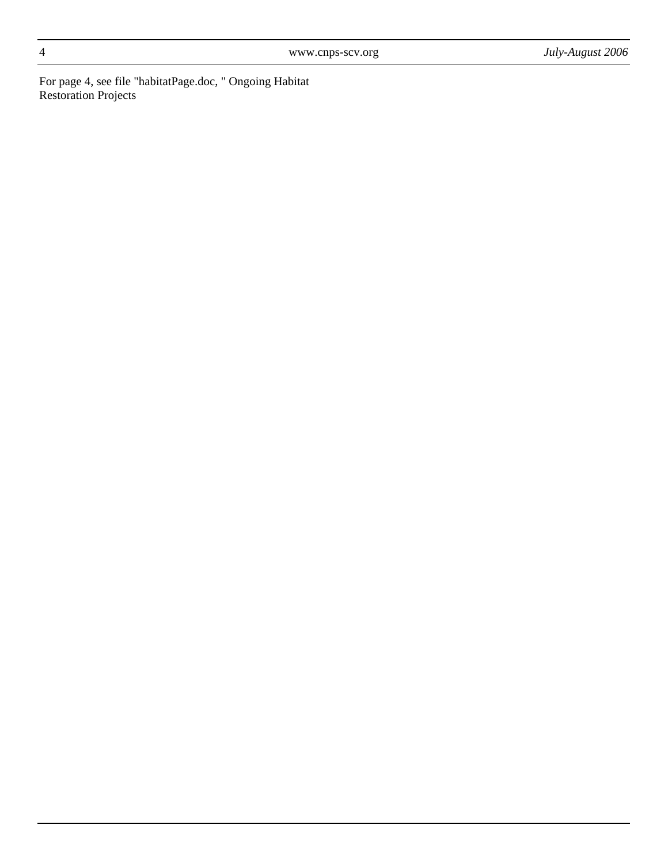For page 4, see file "habitatPage.doc, " Ongoing Habitat Restoration Projects